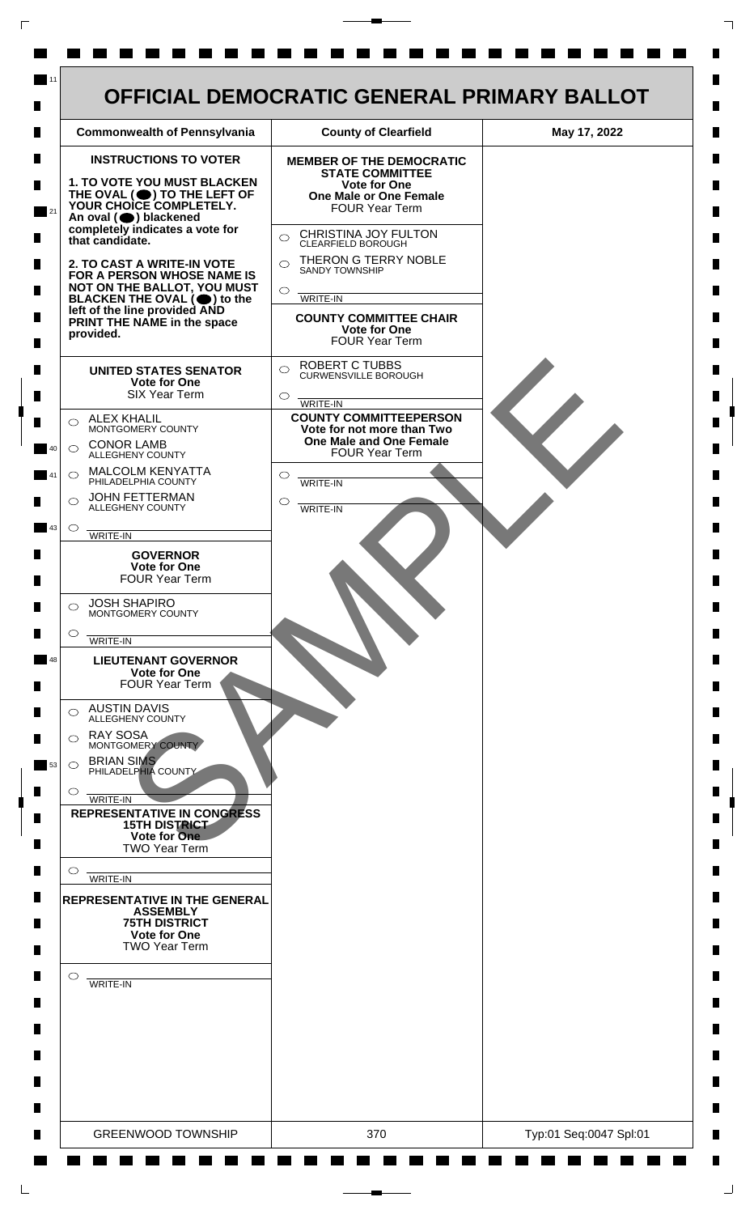

 $\mathsf{L}$ 

 $\Box$